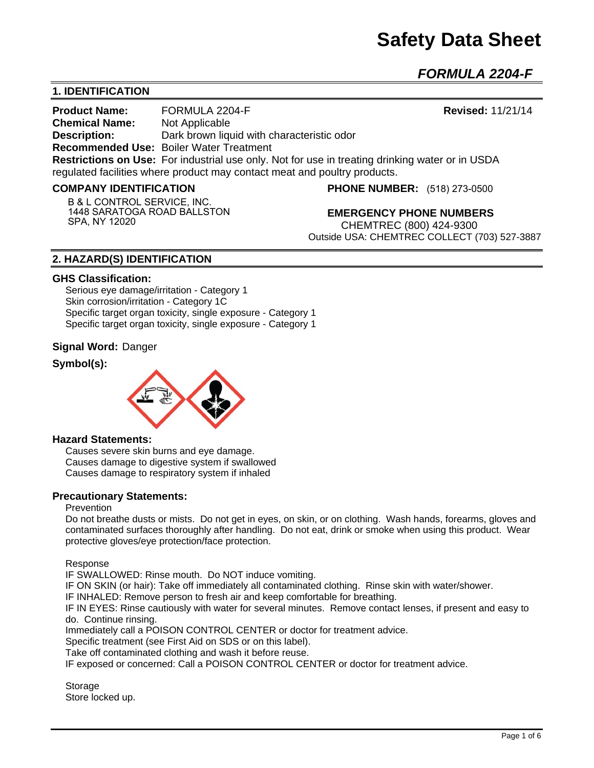# **Safety Data Sheet**

*FORMULA 2204-F* 

# **1. IDENTIFICATION**

**Product Name:** FORMULA 2204-F **Revised:** 11/21/14 **Chemical Name:** Not Applicable **Description:** Dark brown liquid with characteristic odor **Recommended Use:** Boiler Water Treatment **Restrictions on Use:** For industrial use only. Not for use in treating drinking water or in USDA regulated facilities where product may contact meat and poultry products.

#### **COMPANY IDENTIFICATION**

**B & L CONTROL SERVICE, INC. 1448 SARATOGA ROAD BALLSTON SPA, NY 12020**

**PHONE NUMBER:** (518) 273-0500

**EMERGENCY PHONE NUMBERS** CHEMTREC (800) 424-9300 Outside USA: CHEMTREC COLLECT (703) 527-3887

## **2. HAZARD(S) IDENTIFICATION**

#### **GHS Classification:**

Serious eye damage/irritation - Category 1 Skin corrosion/irritation - Category 1C Specific target organ toxicity, single exposure - Category 1 Specific target organ toxicity, single exposure - Category 1

#### **Signal Word:** Danger

## **Symbol(s):**



#### **Hazard Statements:**

Causes severe skin burns and eye damage. Causes damage to digestive system if swallowed Causes damage to respiratory system if inhaled

#### **Precautionary Statements:**

#### Prevention

Do not breathe dusts or mists. Do not get in eyes, on skin, or on clothing. Wash hands, forearms, gloves and contaminated surfaces thoroughly after handling. Do not eat, drink or smoke when using this product. Wear protective gloves/eye protection/face protection.

Response

IF SWALLOWED: Rinse mouth. Do NOT induce vomiting.

IF ON SKIN (or hair): Take off immediately all contaminated clothing. Rinse skin with water/shower.

IF INHALED: Remove person to fresh air and keep comfortable for breathing.

IF IN EYES: Rinse cautiously with water for several minutes. Remove contact lenses, if present and easy to do. Continue rinsing.

Immediately call a POISON CONTROL CENTER or doctor for treatment advice.

Specific treatment (see First Aid on SDS or on this label).

Take off contaminated clothing and wash it before reuse.

IF exposed or concerned: Call a POISON CONTROL CENTER or doctor for treatment advice.

**Storage** Store locked up.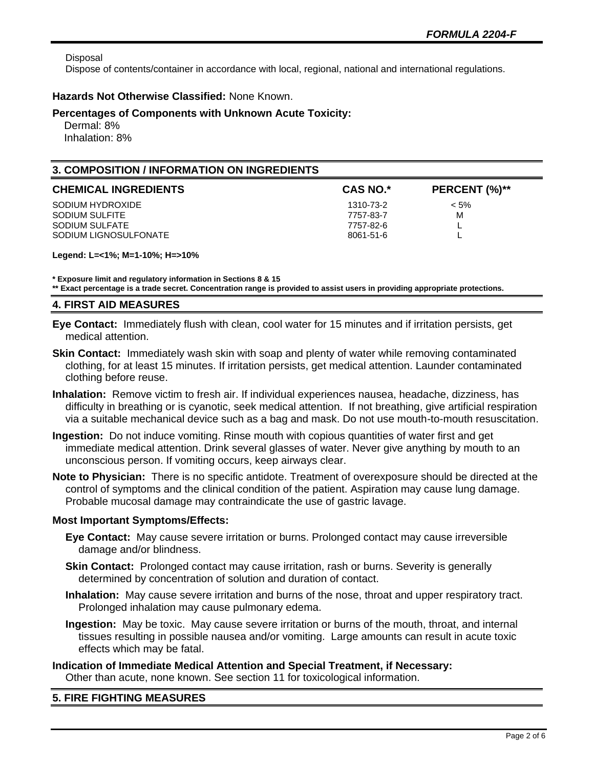Disposal

Dispose of contents/container in accordance with local, regional, national and international regulations.

## **Hazards Not Otherwise Classified:** None Known.

### **Percentages of Components with Unknown Acute Toxicity:**

 Dermal: 8% Inhalation: 8%

# **3. COMPOSITION / INFORMATION ON INGREDIENTS**

| <b>CHEMICAL INGREDIENTS</b> | <b>CAS NO.*</b> | PERCENT (%)** |
|-----------------------------|-----------------|---------------|
| SODIUM HYDROXIDE            | 1310-73-2       | $< 5\%$       |
| SODIUM SULFITE              | 7757-83-7       | M             |
| SODIUM SULFATE              | 7757-82-6       |               |
| SODIUM LIGNOSULFONATE       | 8061-51-6       | −             |

**Legend: L=<1%; M=1-10%; H=>10%**

**\* Exposure limit and regulatory information in Sections 8 & 15 \*\* Exact percentage is a trade secret. Concentration range is provided to assist users in providing appropriate protections.**

## **4. FIRST AID MEASURES**

- **Eye Contact:** Immediately flush with clean, cool water for 15 minutes and if irritation persists, get medical attention.
- **Skin Contact:** Immediately wash skin with soap and plenty of water while removing contaminated clothing, for at least 15 minutes. If irritation persists, get medical attention. Launder contaminated clothing before reuse.
- **Inhalation:** Remove victim to fresh air. If individual experiences nausea, headache, dizziness, has difficulty in breathing or is cyanotic, seek medical attention. If not breathing, give artificial respiration via a suitable mechanical device such as a bag and mask. Do not use mouth-to-mouth resuscitation.
- **Ingestion:** Do not induce vomiting. Rinse mouth with copious quantities of water first and get immediate medical attention. Drink several glasses of water. Never give anything by mouth to an unconscious person. If vomiting occurs, keep airways clear.
- **Note to Physician:** There is no specific antidote. Treatment of overexposure should be directed at the control of symptoms and the clinical condition of the patient. Aspiration may cause lung damage. Probable mucosal damage may contraindicate the use of gastric lavage.

#### **Most Important Symptoms/Effects:**

- **Eye Contact:** May cause severe irritation or burns. Prolonged contact may cause irreversible damage and/or blindness.
- **Skin Contact:** Prolonged contact may cause irritation, rash or burns. Severity is generally determined by concentration of solution and duration of contact.
- **Inhalation:** May cause severe irritation and burns of the nose, throat and upper respiratory tract. Prolonged inhalation may cause pulmonary edema.
- **Ingestion:** May be toxic. May cause severe irritation or burns of the mouth, throat, and internal tissues resulting in possible nausea and/or vomiting. Large amounts can result in acute toxic effects which may be fatal.

# **Indication of Immediate Medical Attention and Special Treatment, if Necessary:** Other than acute, none known. See section 11 for toxicological information.

# **5. FIRE FIGHTING MEASURES**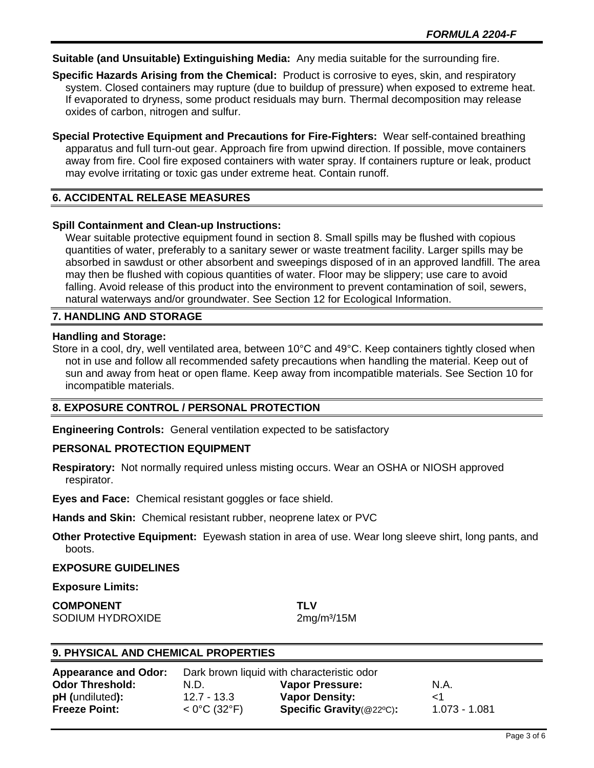**Suitable (and Unsuitable) Extinguishing Media:** Any media suitable for the surrounding fire.

**Specific Hazards Arising from the Chemical:** Product is corrosive to eyes, skin, and respiratory system. Closed containers may rupture (due to buildup of pressure) when exposed to extreme heat. If evaporated to dryness, some product residuals may burn. Thermal decomposition may release oxides of carbon, nitrogen and sulfur.

**Special Protective Equipment and Precautions for Fire-Fighters:** Wear self-contained breathing apparatus and full turn-out gear. Approach fire from upwind direction. If possible, move containers away from fire. Cool fire exposed containers with water spray. If containers rupture or leak, product may evolve irritating or toxic gas under extreme heat. Contain runoff.

# **6. ACCIDENTAL RELEASE MEASURES**

## **Spill Containment and Clean-up Instructions:**

Wear suitable protective equipment found in section 8. Small spills may be flushed with copious quantities of water, preferably to a sanitary sewer or waste treatment facility. Larger spills may be absorbed in sawdust or other absorbent and sweepings disposed of in an approved landfill. The area may then be flushed with copious quantities of water. Floor may be slippery; use care to avoid falling. Avoid release of this product into the environment to prevent contamination of soil, sewers, natural waterways and/or groundwater. See Section 12 for Ecological Information.

## **7. HANDLING AND STORAGE**

#### **Handling and Storage:**

Store in a cool, dry, well ventilated area, between 10°C and 49°C. Keep containers tightly closed when not in use and follow all recommended safety precautions when handling the material. Keep out of sun and away from heat or open flame. Keep away from incompatible materials. See Section 10 for incompatible materials.

# **8. EXPOSURE CONTROL / PERSONAL PROTECTION**

**Engineering Controls:** General ventilation expected to be satisfactory

#### **PERSONAL PROTECTION EQUIPMENT**

**Respiratory:** Not normally required unless misting occurs. Wear an OSHA or NIOSH approved respirator.

**Eyes and Face:** Chemical resistant goggles or face shield.

**Hands and Skin:** Chemical resistant rubber, neoprene latex or PVC

**Other Protective Equipment:** Eyewash station in area of use. Wear long sleeve shirt, long pants, and boots.

#### **EXPOSURE GUIDELINES**

**Exposure Limits:** 

**COMPONENT TLV** SODIUM HYDROXIDE 2mg/m<sup>3</sup>/15M

# **9. PHYSICAL AND CHEMICAL PROPERTIES**

| <b>Appearance and Odor:</b> | Dark brown liquid with characteristic odor |                                      |               |
|-----------------------------|--------------------------------------------|--------------------------------------|---------------|
| <b>Odor Threshold:</b>      | N.D.                                       | <b>Vapor Pressure:</b>               | N.A.          |
| <b>pH</b> (undiluted):      | 12.7 - 13.3                                | <b>Vapor Density:</b>                |               |
| <b>Freeze Point:</b>        | $< 0^{\circ}$ C (32 $^{\circ}$ F)          | <b>Specific Gravity</b> ( $@22°C$ ): | 1.073 - 1.081 |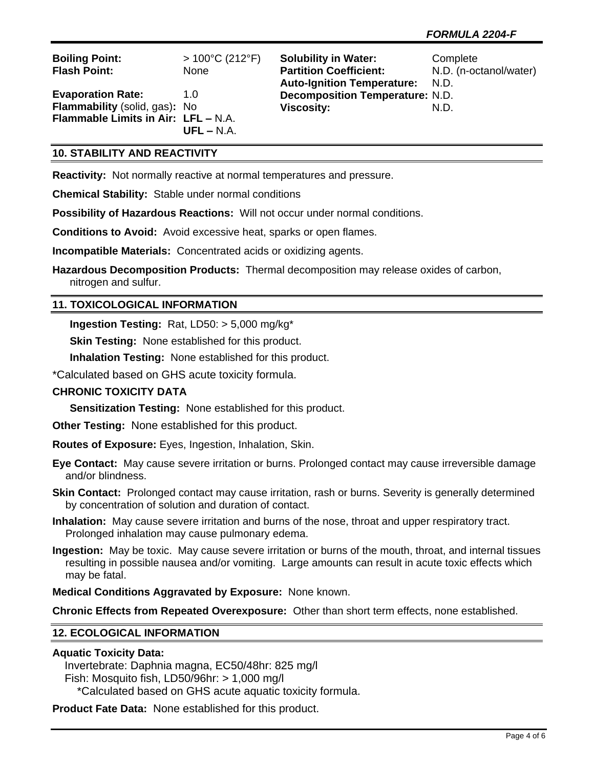| <b>Boiling Point:</b>               | $>100^{\circ}$ C (212 $^{\circ}$ F) | <b>Solubility in Water:</b>            | Complete               |
|-------------------------------------|-------------------------------------|----------------------------------------|------------------------|
| <b>Flash Point:</b>                 | <b>None</b>                         | <b>Partition Coefficient:</b>          | N.D. (n-octanol/water) |
|                                     |                                     | <b>Auto-Ignition Temperature:</b>      | N.D.                   |
| <b>Evaporation Rate:</b>            | 1.0                                 | <b>Decomposition Temperature: N.D.</b> |                        |
| Flammability (solid, gas): No       |                                     | <b>Viscosity:</b>                      | N.D.                   |
| Flammable Limits in Air: LFL - N.A. |                                     |                                        |                        |
|                                     | $UFL - N.A.$                        |                                        |                        |

## **10. STABILITY AND REACTIVITY**

**Reactivity:** Not normally reactive at normal temperatures and pressure.

**Chemical Stability:** Stable under normal conditions

**Possibility of Hazardous Reactions:** Will not occur under normal conditions.

**Conditions to Avoid:** Avoid excessive heat, sparks or open flames.

**Incompatible Materials:** Concentrated acids or oxidizing agents.

**Hazardous Decomposition Products:** Thermal decomposition may release oxides of carbon, nitrogen and sulfur.

#### **11. TOXICOLOGICAL INFORMATION**

**Ingestion Testing:** Rat, LD50: > 5,000 mg/kg\*

**Skin Testing:** None established for this product.

**Inhalation Testing:** None established for this product.

\*Calculated based on GHS acute toxicity formula.

#### **CHRONIC TOXICITY DATA**

**Sensitization Testing:** None established for this product.

**Other Testing:** None established for this product.

**Routes of Exposure:** Eyes, Ingestion, Inhalation, Skin.

**Eye Contact:** May cause severe irritation or burns. Prolonged contact may cause irreversible damage and/or blindness.

**Skin Contact:** Prolonged contact may cause irritation, rash or burns. Severity is generally determined by concentration of solution and duration of contact.

**Inhalation:** May cause severe irritation and burns of the nose, throat and upper respiratory tract. Prolonged inhalation may cause pulmonary edema.

**Ingestion:** May be toxic. May cause severe irritation or burns of the mouth, throat, and internal tissues resulting in possible nausea and/or vomiting. Large amounts can result in acute toxic effects which may be fatal.

**Medical Conditions Aggravated by Exposure:** None known.

**Chronic Effects from Repeated Overexposure:** Other than short term effects, none established.

#### **12. ECOLOGICAL INFORMATION**

#### **Aquatic Toxicity Data:**

 Invertebrate: Daphnia magna, EC50/48hr: 825 mg/l Fish: Mosquito fish, LD50/96hr: > 1,000 mg/l

\*Calculated based on GHS acute aquatic toxicity formula.

**Product Fate Data:** None established for this product.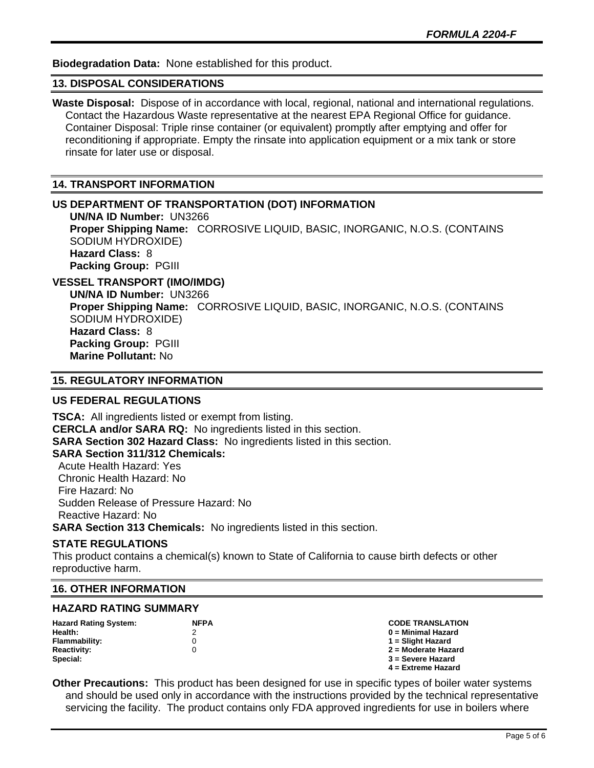**Biodegradation Data:** None established for this product.

## **13. DISPOSAL CONSIDERATIONS**

**Waste Disposal:** Dispose of in accordance with local, regional, national and international regulations. Contact the Hazardous Waste representative at the nearest EPA Regional Office for guidance. Container Disposal: Triple rinse container (or equivalent) promptly after emptying and offer for reconditioning if appropriate. Empty the rinsate into application equipment or a mix tank or store rinsate for later use or disposal.

### **14. TRANSPORT INFORMATION**

#### **US DEPARTMENT OF TRANSPORTATION (DOT) INFORMATION**

**UN/NA ID Number:** UN3266 **Proper Shipping Name:** CORROSIVE LIQUID, BASIC, INORGANIC, N.O.S. (CONTAINS SODIUM HYDROXIDE) **Hazard Class:** 8 **Packing Group:** PGIII

## **VESSEL TRANSPORT (IMO/IMDG)**

**UN/NA ID Number:** UN3266 **Proper Shipping Name:** CORROSIVE LIQUID, BASIC, INORGANIC, N.O.S. (CONTAINS SODIUM HYDROXIDE) **Hazard Class:** 8 **Packing Group:** PGIII **Marine Pollutant:** No

## **15. REGULATORY INFORMATION**

# **US FEDERAL REGULATIONS**

**TSCA:** All ingredients listed or exempt from listing. **CERCLA and/or SARA RQ:** No ingredients listed in this section. **SARA Section 302 Hazard Class:** No ingredients listed in this section. **SARA Section 311/312 Chemicals:**  Acute Health Hazard: Yes Chronic Health Hazard: No Fire Hazard: No Sudden Release of Pressure Hazard: No Reactive Hazard: No

**SARA Section 313 Chemicals:** No ingredients listed in this section.

#### **STATE REGULATIONS**

This product contains a chemical(s) known to State of California to cause birth defects or other reproductive harm.

#### **16. OTHER INFORMATION**

#### **HAZARD RATING SUMMARY**

| <b>Hazard Rating System:</b> | <b>NFPA</b> | <b>CODE TRANSLATION</b> |
|------------------------------|-------------|-------------------------|
| Health:                      |             | 0 = Minimal Hazard      |
| Flammability:                |             | 1 = Slight Hazard       |
| <b>Reactivity:</b>           |             | 2 = Moderate Hazard     |
| Special:                     |             | 3 = Severe Hazard       |
|                              |             | $4$ = Extreme Hazard    |

**Other Precautions:** This product has been designed for use in specific types of boiler water systems and should be used only in accordance with the instructions provided by the technical representative servicing the facility. The product contains only FDA approved ingredients for use in boilers where